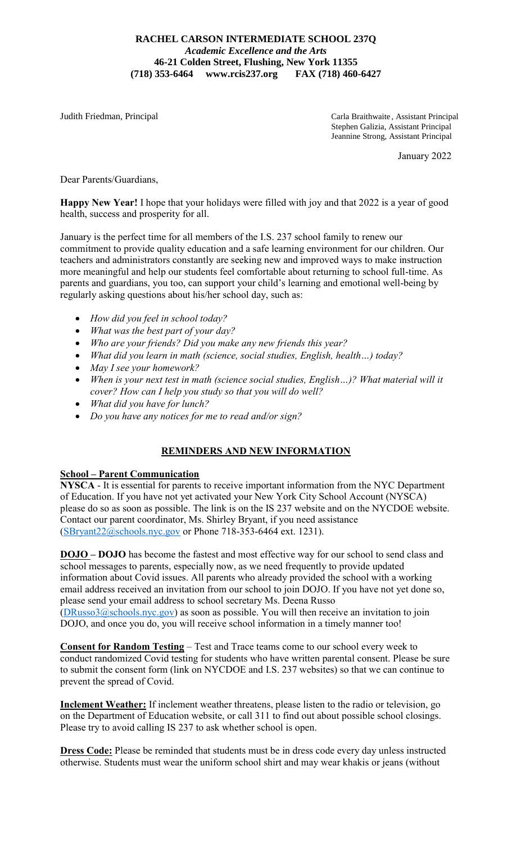#### **RACHEL CARSON INTERMEDIATE SCHOOL 237Q** *Academic Excellence and the Arts* **46-21 Colden Street, Flushing, New York 11355 (718) 353-6464 www.rcis237.org FAX (718) 460-6427**

Judith Friedman, Principal Carla Braithwaite , Assistant Principal Stephen Galizia, Assistant Principal Jeannine Strong, Assistant Principal

January 2022

Dear Parents/Guardians,

**Happy New Year!** I hope that your holidays were filled with joy and that 2022 is a year of good health, success and prosperity for all.

January is the perfect time for all members of the I.S. 237 school family to renew our commitment to provide quality education and a safe learning environment for our children. Our teachers and administrators constantly are seeking new and improved ways to make instruction more meaningful and help our students feel comfortable about returning to school full-time. As parents and guardians, you too, can support your child's learning and emotional well-being by regularly asking questions about his/her school day, such as:

- *How did you feel in school today?*
- *What was the best part of your day?*
- *Who are your friends? Did you make any new friends this year?*
- *What did you learn in math (science, social studies, English, health…) today?*
- *May I see your homework?*
- *When is your next test in math (science social studies, English…)? What material will it cover? How can I help you study so that you will do well?*
- *What did you have for lunch?*
- *Do you have any notices for me to read and/or sign?*

## **REMINDERS AND NEW INFORMATION**

#### **School – Parent Communication**

**NYSCA** - It is essential for parents to receive important information from the NYC Department of Education. If you have not yet activated your New York City School Account (NYSCA) please do so as soon as possible. The link is on the IS 237 website and on the NYCDOE website. Contact our parent coordinator, Ms. Shirley Bryant, if you need assistance [\(SBryant22@schools.nyc.gov](mailto:SBryant22@schools.nyc.gov) or Phone 718-353-6464 ext. 1231).

**DOJO – DOJO** has become the fastest and most effective way for our school to send class and school messages to parents, especially now, as we need frequently to provide updated information about Covid issues. All parents who already provided the school with a working email address received an invitation from our school to join DOJO. If you have not yet done so, please send your email address to school secretary Ms. Deena Russo  $(DRusso3@schools.nyc.gov)$  as soon as possible. You will then receive an invitation to join DOJO, and once you do, you will receive school information in a timely manner too!

**Consent for Random Testing** – Test and Trace teams come to our school every week to conduct randomized Covid testing for students who have written parental consent. Please be sure to submit the consent form (link on NYCDOE and I.S. 237 websites) so that we can continue to prevent the spread of Covid.

**Inclement Weather:** If inclement weather threatens, please listen to the radio or television, go on the Department of Education website, or call 311 to find out about possible school closings. Please try to avoid calling IS 237 to ask whether school is open.

**Dress Code:** Please be reminded that students must be in dress code every day unless instructed otherwise. Students must wear the uniform school shirt and may wear khakis or jeans (without